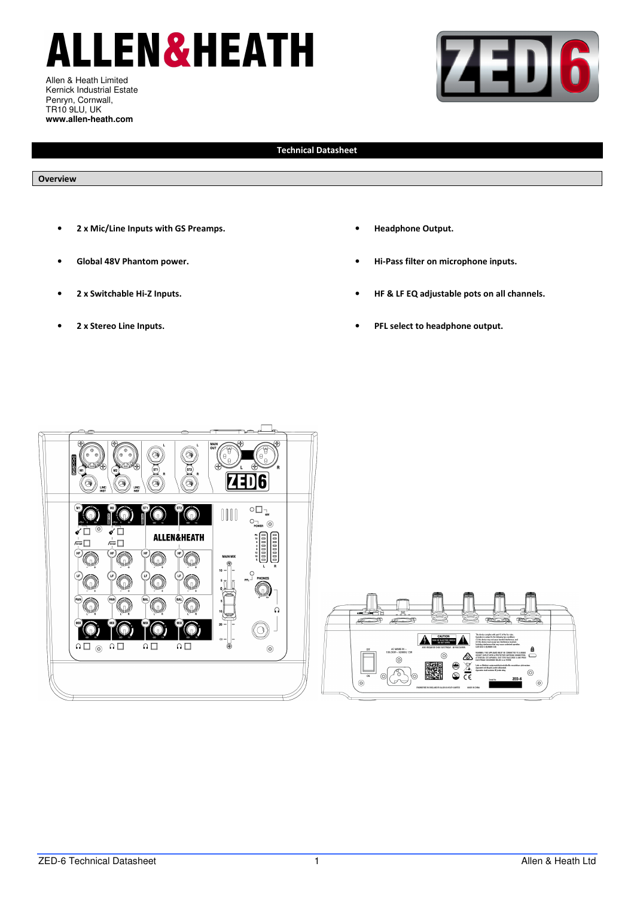# **ALLEN&HEATH**

Allen & Heath Limited Kernick Industrial Estate Penryn, Cornwall, TR10 9LU, UK **www.allen-heath.com** 



## **Technical Datasheet**

### **Overview**

- **2 x Mic/Line Inputs with GS Preamps.**
- **Global 48V Phantom power.**
- **2 x Switchable Hi-Z Inputs.**
- **2 x Stereo Line Inputs.**
- **Headphone Output.**
- **Hi-Pass filter on microphone inputs.**
- **HF & LF EQ adjustable pots on all channels.**
- **PFL select to headphone output.**



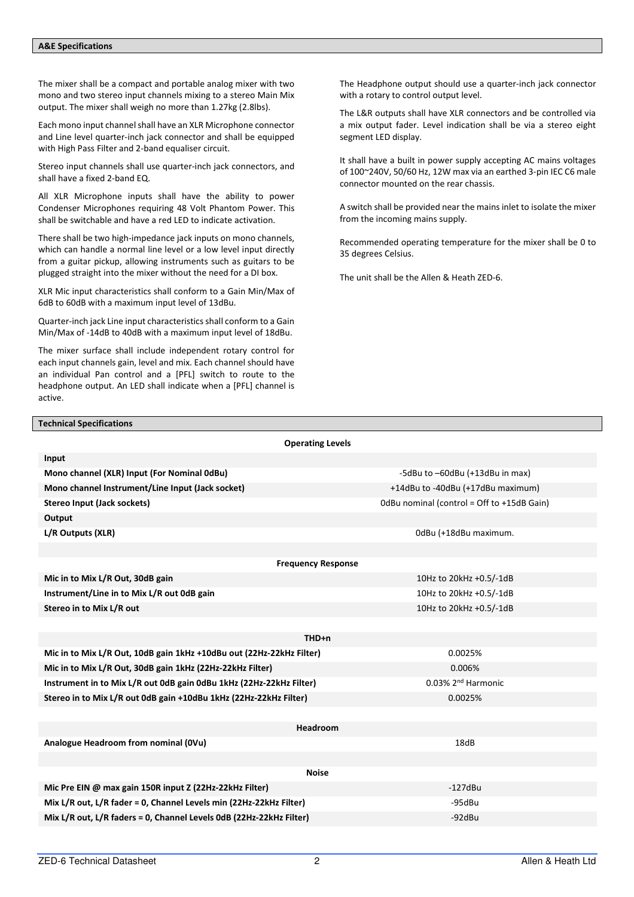### **A&E Specifications**

The mixer shall be a compact and portable analog mixer with two mono and two stereo input channels mixing to a stereo Main Mix output. The mixer shall weigh no more than 1.27kg (2.8lbs).

Each mono input channel shall have an XLR Microphone connector and Line level quarter-inch jack connector and shall be equipped with High Pass Filter and 2-band equaliser circuit.

Stereo input channels shall use quarter-inch jack connectors, and shall have a fixed 2-band EQ.

All XLR Microphone inputs shall have the ability to power Condenser Microphones requiring 48 Volt Phantom Power. This shall be switchable and have a red LED to indicate activation.

There shall be two high-impedance jack inputs on mono channels, which can handle a normal line level or a low level input directly from a guitar pickup, allowing instruments such as guitars to be plugged straight into the mixer without the need for a DI box.

XLR Mic input characteristics shall conform to a Gain Min/Max of 6dB to 60dB with a maximum input level of 13dBu.

Quarter-inch jack Line input characteristics shall conform to a Gain Min/Max of -14dB to 40dB with a maximum input level of 18dBu.

The mixer surface shall include independent rotary control for each input channels gain, level and mix. Each channel should have an individual Pan control and a [PFL] switch to route to the headphone output. An LED shall indicate when a [PFL] channel is active.

The Headphone output should use a quarter-inch jack connector with a rotary to control output level.

The L&R outputs shall have XLR connectors and be controlled via a mix output fader. Level indication shall be via a stereo eight segment LED display.

It shall have a built in power supply accepting AC mains voltages of 100~240V, 50/60 Hz, 12W max via an earthed 3-pin IEC C6 male connector mounted on the rear chassis.

A switch shall be provided near the mains inlet to isolate the mixer from the incoming mains supply.

Recommended operating temperature for the mixer shall be 0 to 35 degrees Celsius.

The unit shall be the Allen & Heath ZED-6.

#### **Technical Specifications**

| <b>Operating Levels</b>                                              |                                            |  |  |  |  |  |  |
|----------------------------------------------------------------------|--------------------------------------------|--|--|--|--|--|--|
| Input                                                                |                                            |  |  |  |  |  |  |
| Mono channel (XLR) Input (For Nominal OdBu)                          | -5dBu to -60dBu (+13dBu in max)            |  |  |  |  |  |  |
| Mono channel Instrument/Line Input (Jack socket)                     | +14dBu to -40dBu (+17dBu maximum)          |  |  |  |  |  |  |
| Stereo Input (Jack sockets)                                          | OdBu nominal (control = Off to +15dB Gain) |  |  |  |  |  |  |
| Output                                                               |                                            |  |  |  |  |  |  |
| L/R Outputs (XLR)                                                    | 0dBu (+18dBu maximum.                      |  |  |  |  |  |  |
|                                                                      |                                            |  |  |  |  |  |  |
| <b>Frequency Response</b>                                            |                                            |  |  |  |  |  |  |
| Mic in to Mix L/R Out, 30dB gain                                     | 10Hz to 20kHz +0.5/-1dB                    |  |  |  |  |  |  |
| Instrument/Line in to Mix L/R out 0dB gain                           | 10Hz to 20kHz +0.5/-1dB                    |  |  |  |  |  |  |
| Stereo in to Mix L/R out                                             | 10Hz to 20kHz +0.5/-1dB                    |  |  |  |  |  |  |
|                                                                      |                                            |  |  |  |  |  |  |
| THD+n                                                                |                                            |  |  |  |  |  |  |
| Mic in to Mix L/R Out, 10dB gain 1kHz +10dBu out (22Hz-22kHz Filter) | 0.0025%                                    |  |  |  |  |  |  |
| Mic in to Mix L/R Out, 30dB gain 1kHz (22Hz-22kHz Filter)            | 0.006%                                     |  |  |  |  |  |  |
| Instrument in to Mix L/R out 0dB gain 0dBu 1kHz (22Hz-22kHz Filter)  | $0.03\%$ 2 <sup>nd</sup> Harmonic          |  |  |  |  |  |  |
| Stereo in to Mix L/R out 0dB gain +10dBu 1kHz (22Hz-22kHz Filter)    | 0.0025%                                    |  |  |  |  |  |  |
|                                                                      |                                            |  |  |  |  |  |  |
| <b>Headroom</b>                                                      |                                            |  |  |  |  |  |  |
| Analogue Headroom from nominal (OVu)                                 | 18dB                                       |  |  |  |  |  |  |
|                                                                      |                                            |  |  |  |  |  |  |
| <b>Noise</b>                                                         |                                            |  |  |  |  |  |  |
| Mic Pre EIN @ max gain 150R input Z (22Hz-22kHz Filter)              | $-127dBu$                                  |  |  |  |  |  |  |
| Mix L/R out, L/R fader = 0, Channel Levels min (22Hz-22kHz Filter)   | -95dBu                                     |  |  |  |  |  |  |
| Mix L/R out, L/R faders = 0, Channel Levels 0dB (22Hz-22kHz Filter)  | $-92$ dBu                                  |  |  |  |  |  |  |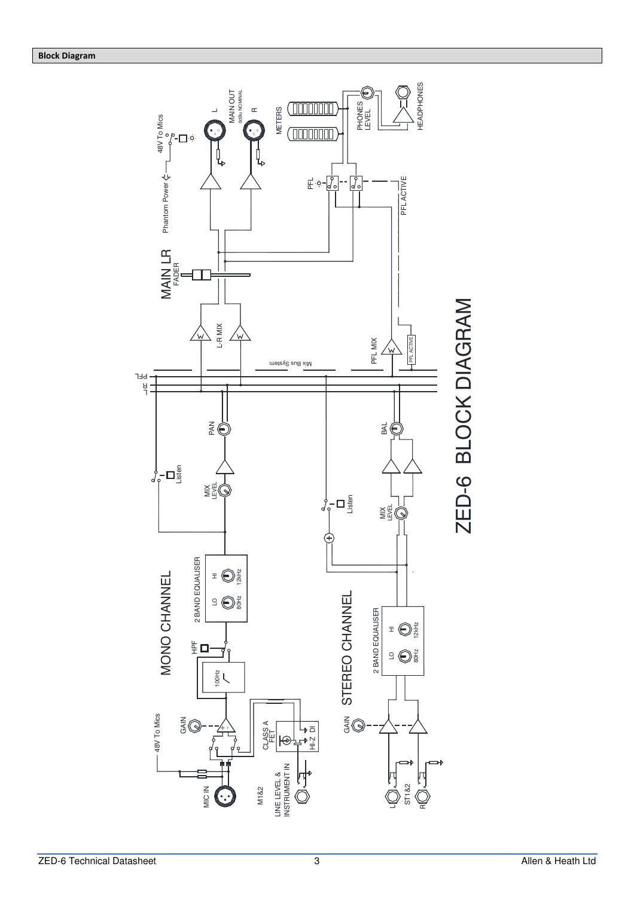

zED-6 Technical Datasheet 3 and 2009 and 2009 and 2009 and 2009 and 2009 and 2009 and 2009 and 2009 and 2009 and 2009 and 2009 and 2009 and 2009 and 2009 and 2009 and 2009 and 2009 and 2009 and 2009 and 2009 and 2009 and 2